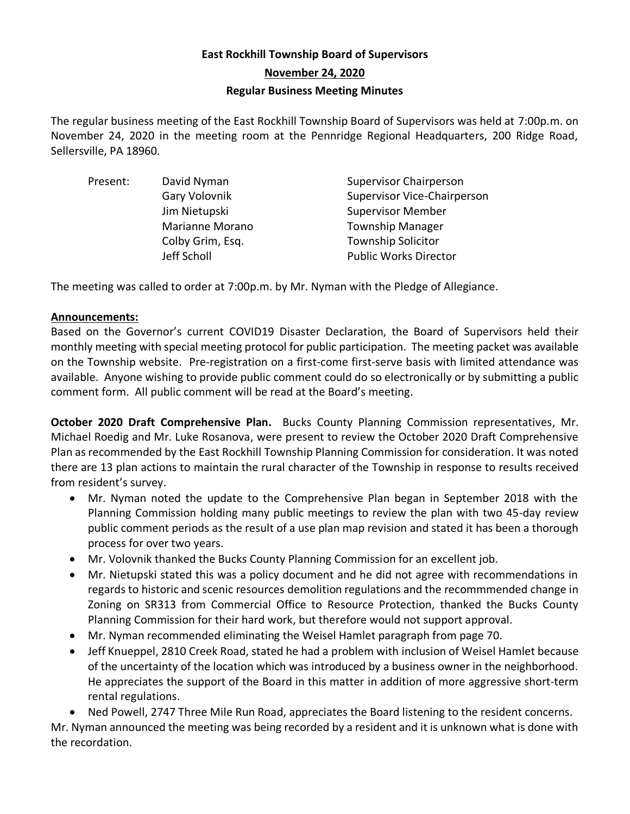# **East Rockhill Township Board of Supervisors November 24, 2020 Regular Business Meeting Minutes**

The regular business meeting of the East Rockhill Township Board of Supervisors was held at 7:00p.m. on November 24, 2020 in the meeting room at the Pennridge Regional Headquarters, 200 Ridge Road, Sellersville, PA 18960.

| Present: | David Nyman            | <b>Supervisor Chairperson</b>      |
|----------|------------------------|------------------------------------|
|          | Gary Volovnik          | <b>Supervisor Vice-Chairperson</b> |
|          | Jim Nietupski          | <b>Supervisor Member</b>           |
|          | <b>Marianne Morano</b> | <b>Township Manager</b>            |
|          | Colby Grim, Esq.       | <b>Township Solicitor</b>          |
|          | Jeff Scholl            | <b>Public Works Director</b>       |

The meeting was called to order at 7:00p.m. by Mr. Nyman with the Pledge of Allegiance.

### **Announcements:**

Based on the Governor's current COVID19 Disaster Declaration, the Board of Supervisors held their monthly meeting with special meeting protocol for public participation. The meeting packet was available on the Township website. Pre-registration on a first-come first-serve basis with limited attendance was available. Anyone wishing to provide public comment could do so electronically or by submitting a public comment form. All public comment will be read at the Board's meeting.

**October 2020 Draft Comprehensive Plan.** Bucks County Planning Commission representatives, Mr. Michael Roedig and Mr. Luke Rosanova, were present to review the October 2020 Draft Comprehensive Plan as recommended by the East Rockhill Township Planning Commission for consideration. It was noted there are 13 plan actions to maintain the rural character of the Township in response to results received from resident's survey.

- Mr. Nyman noted the update to the Comprehensive Plan began in September 2018 with the Planning Commission holding many public meetings to review the plan with two 45-day review public comment periods as the result of a use plan map revision and stated it has been a thorough process for over two years.
- Mr. Volovnik thanked the Bucks County Planning Commission for an excellent job.
- Mr. Nietupski stated this was a policy document and he did not agree with recommendations in regards to historic and scenic resources demolition regulations and the recommmended change in Zoning on SR313 from Commercial Office to Resource Protection, thanked the Bucks County Planning Commission for their hard work, but therefore would not support approval.
- Mr. Nyman recommended eliminating the Weisel Hamlet paragraph from page 70.
- Jeff Knueppel, 2810 Creek Road, stated he had a problem with inclusion of Weisel Hamlet because of the uncertainty of the location which was introduced by a business owner in the neighborhood. He appreciates the support of the Board in this matter in addition of more aggressive short-term rental regulations.

• Ned Powell, 2747 Three Mile Run Road, appreciates the Board listening to the resident concerns.

Mr. Nyman announced the meeting was being recorded by a resident and it is unknown what is done with the recordation.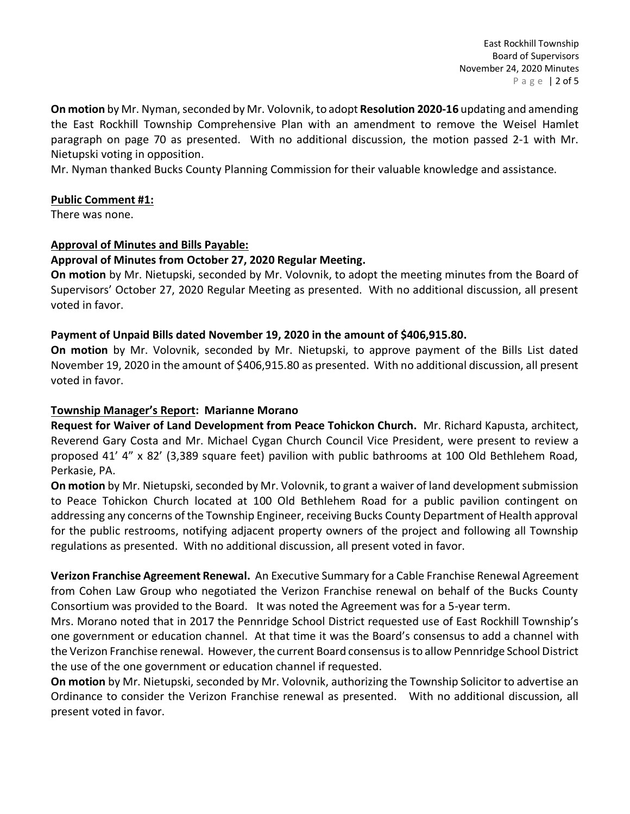**On motion** by Mr. Nyman, seconded by Mr. Volovnik, to adopt **Resolution 2020-16** updating and amending the East Rockhill Township Comprehensive Plan with an amendment to remove the Weisel Hamlet paragraph on page 70 as presented. With no additional discussion, the motion passed 2-1 with Mr. Nietupski voting in opposition.

Mr. Nyman thanked Bucks County Planning Commission for their valuable knowledge and assistance.

### **Public Comment #1:**

There was none.

### **Approval of Minutes and Bills Payable:**

### **Approval of Minutes from October 27, 2020 Regular Meeting.**

**On motion** by Mr. Nietupski, seconded by Mr. Volovnik, to adopt the meeting minutes from the Board of Supervisors' October 27, 2020 Regular Meeting as presented. With no additional discussion, all present voted in favor.

### **Payment of Unpaid Bills dated November 19, 2020 in the amount of \$406,915.80.**

**On motion** by Mr. Volovnik, seconded by Mr. Nietupski, to approve payment of the Bills List dated November 19, 2020 in the amount of \$406,915.80 as presented. With no additional discussion, all present voted in favor.

#### **Township Manager's Report: Marianne Morano**

**Request for Waiver of Land Development from Peace Tohickon Church.** Mr. Richard Kapusta, architect, Reverend Gary Costa and Mr. Michael Cygan Church Council Vice President, were present to review a proposed 41' 4" x 82' (3,389 square feet) pavilion with public bathrooms at 100 Old Bethlehem Road, Perkasie, PA.

**On motion** by Mr. Nietupski, seconded by Mr. Volovnik, to grant a waiver of land development submission to Peace Tohickon Church located at 100 Old Bethlehem Road for a public pavilion contingent on addressing any concerns of the Township Engineer, receiving Bucks County Department of Health approval for the public restrooms, notifying adjacent property owners of the project and following all Township regulations as presented. With no additional discussion, all present voted in favor.

**Verizon Franchise Agreement Renewal.** An Executive Summary for a Cable Franchise Renewal Agreement from Cohen Law Group who negotiated the Verizon Franchise renewal on behalf of the Bucks County Consortium was provided to the Board. It was noted the Agreement was for a 5-year term.

Mrs. Morano noted that in 2017 the Pennridge School District requested use of East Rockhill Township's one government or education channel. At that time it was the Board's consensus to add a channel with the Verizon Franchise renewal. However, the current Board consensus is to allow Pennridge School District the use of the one government or education channel if requested.

**On motion** by Mr. Nietupski, seconded by Mr. Volovnik, authorizing the Township Solicitor to advertise an Ordinance to consider the Verizon Franchise renewal as presented. With no additional discussion, all present voted in favor.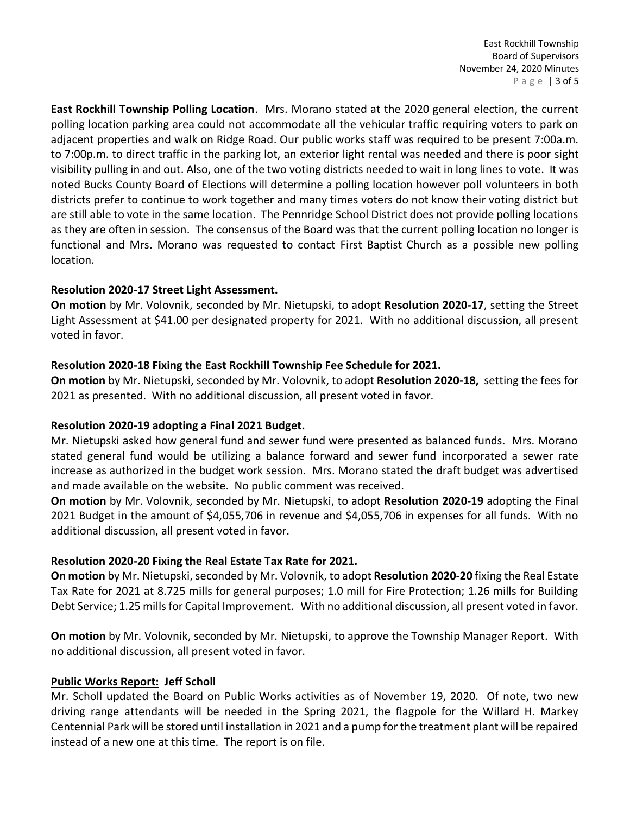East Rockhill Township Board of Supervisors November 24, 2020 Minutes P a g e | 3 of 5

**East Rockhill Township Polling Location**. Mrs. Morano stated at the 2020 general election, the current polling location parking area could not accommodate all the vehicular traffic requiring voters to park on adjacent properties and walk on Ridge Road. Our public works staff was required to be present 7:00a.m. to 7:00p.m. to direct traffic in the parking lot, an exterior light rental was needed and there is poor sight visibility pulling in and out. Also, one of the two voting districts needed to wait in long lines to vote. It was noted Bucks County Board of Elections will determine a polling location however poll volunteers in both districts prefer to continue to work together and many times voters do not know their voting district but are still able to vote in the same location. The Pennridge School District does not provide polling locations as they are often in session. The consensus of the Board was that the current polling location no longer is functional and Mrs. Morano was requested to contact First Baptist Church as a possible new polling location.

### **Resolution 2020-17 Street Light Assessment.**

**On motion** by Mr. Volovnik, seconded by Mr. Nietupski, to adopt **Resolution 2020-17**, setting the Street Light Assessment at \$41.00 per designated property for 2021. With no additional discussion, all present voted in favor.

### **Resolution 2020-18 Fixing the East Rockhill Township Fee Schedule for 2021.**

**On motion** by Mr. Nietupski, seconded by Mr. Volovnik, to adopt **Resolution 2020-18,** setting the fees for 2021 as presented. With no additional discussion, all present voted in favor.

#### **Resolution 2020-19 adopting a Final 2021 Budget.**

Mr. Nietupski asked how general fund and sewer fund were presented as balanced funds. Mrs. Morano stated general fund would be utilizing a balance forward and sewer fund incorporated a sewer rate increase as authorized in the budget work session. Mrs. Morano stated the draft budget was advertised and made available on the website. No public comment was received.

**On motion** by Mr. Volovnik, seconded by Mr. Nietupski, to adopt **Resolution 2020-19** adopting the Final 2021 Budget in the amount of \$4,055,706 in revenue and \$4,055,706 in expenses for all funds. With no additional discussion, all present voted in favor.

#### **Resolution 2020-20 Fixing the Real Estate Tax Rate for 2021.**

**On motion** by Mr. Nietupski, seconded by Mr. Volovnik, to adopt **Resolution 2020-20** fixing the Real Estate Tax Rate for 2021 at 8.725 mills for general purposes; 1.0 mill for Fire Protection; 1.26 mills for Building Debt Service; 1.25 mills for Capital Improvement. With no additional discussion, all present voted in favor.

**On motion** by Mr. Volovnik, seconded by Mr. Nietupski, to approve the Township Manager Report. With no additional discussion, all present voted in favor.

#### **Public Works Report: Jeff Scholl**

Mr. Scholl updated the Board on Public Works activities as of November 19, 2020. Of note, two new driving range attendants will be needed in the Spring 2021, the flagpole for the Willard H. Markey Centennial Park will be stored until installation in 2021 and a pump for the treatment plant will be repaired instead of a new one at this time. The report is on file.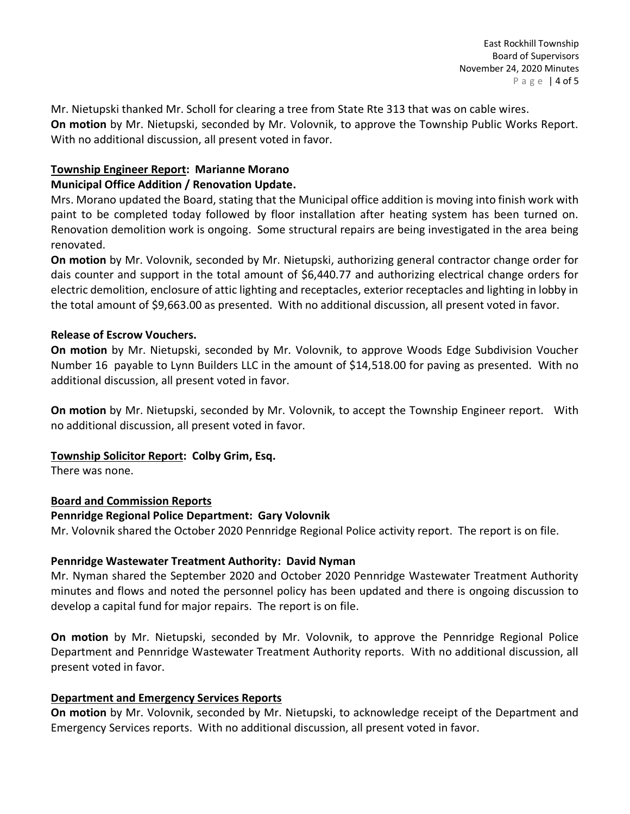Mr. Nietupski thanked Mr. Scholl for clearing a tree from State Rte 313 that was on cable wires. **On motion** by Mr. Nietupski, seconded by Mr. Volovnik, to approve the Township Public Works Report. With no additional discussion, all present voted in favor.

### **Township Engineer Report: Marianne Morano**

### **Municipal Office Addition / Renovation Update.**

Mrs. Morano updated the Board, stating that the Municipal office addition is moving into finish work with paint to be completed today followed by floor installation after heating system has been turned on. Renovation demolition work is ongoing. Some structural repairs are being investigated in the area being renovated.

**On motion** by Mr. Volovnik, seconded by Mr. Nietupski, authorizing general contractor change order for dais counter and support in the total amount of \$6,440.77 and authorizing electrical change orders for electric demolition, enclosure of attic lighting and receptacles, exterior receptacles and lighting in lobby in the total amount of \$9,663.00 as presented. With no additional discussion, all present voted in favor.

## **Release of Escrow Vouchers.**

**On motion** by Mr. Nietupski, seconded by Mr. Volovnik, to approve Woods Edge Subdivision Voucher Number 16 payable to Lynn Builders LLC in the amount of \$14,518.00 for paving as presented. With no additional discussion, all present voted in favor.

**On motion** by Mr. Nietupski, seconded by Mr. Volovnik, to accept the Township Engineer report. With no additional discussion, all present voted in favor.

# **Township Solicitor Report: Colby Grim, Esq.**

There was none.

### **Board and Commission Reports**

### **Pennridge Regional Police Department: Gary Volovnik**

Mr. Volovnik shared the October 2020 Pennridge Regional Police activity report. The report is on file.

### **Pennridge Wastewater Treatment Authority: David Nyman**

Mr. Nyman shared the September 2020 and October 2020 Pennridge Wastewater Treatment Authority minutes and flows and noted the personnel policy has been updated and there is ongoing discussion to develop a capital fund for major repairs. The report is on file.

**On motion** by Mr. Nietupski, seconded by Mr. Volovnik, to approve the Pennridge Regional Police Department and Pennridge Wastewater Treatment Authority reports. With no additional discussion, all present voted in favor.

# **Department and Emergency Services Reports**

**On motion** by Mr. Volovnik, seconded by Mr. Nietupski, to acknowledge receipt of the Department and Emergency Services reports. With no additional discussion, all present voted in favor.